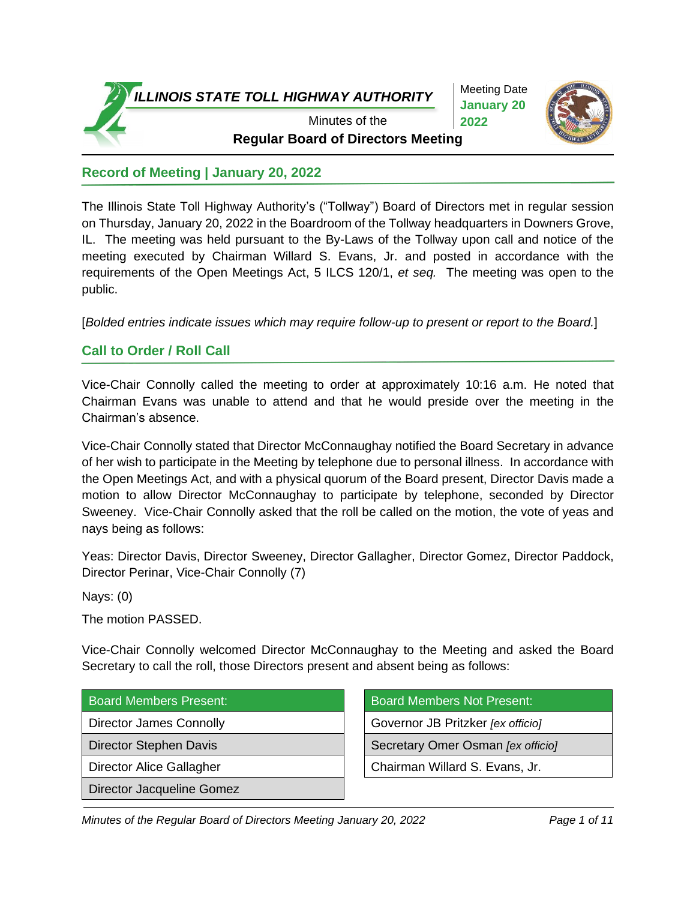

Meeting Date **January 20 2022**



**Regular Board of Directors Meeting** Minutes of the

# **Record of Meeting | January 20, 2022**

The Illinois State Toll Highway Authority's ("Tollway") Board of Directors met in regular session on Thursday, January 20, 2022 in the Boardroom of the Tollway headquarters in Downers Grove, IL. The meeting was held pursuant to the By-Laws of the Tollway upon call and notice of the meeting executed by Chairman Willard S. Evans, Jr. and posted in accordance with the requirements of the Open Meetings Act, 5 ILCS 120/1, *et seq.* The meeting was open to the public.

[*Bolded entries indicate issues which may require follow-up to present or report to the Board.*]

## **Call to Order / Roll Call**

Vice-Chair Connolly called the meeting to order at approximately 10:16 a.m. He noted that Chairman Evans was unable to attend and that he would preside over the meeting in the Chairman's absence.

Vice-Chair Connolly stated that Director McConnaughay notified the Board Secretary in advance of her wish to participate in the Meeting by telephone due to personal illness. In accordance with the Open Meetings Act, and with a physical quorum of the Board present, Director Davis made a motion to allow Director McConnaughay to participate by telephone, seconded by Director Sweeney. Vice-Chair Connolly asked that the roll be called on the motion, the vote of yeas and nays being as follows:

Yeas: Director Davis, Director Sweeney, Director Gallagher, Director Gomez, Director Paddock, Director Perinar, Vice-Chair Connolly (7)

Nays: (0)

The motion PASSED.

Vice-Chair Connolly welcomed Director McConnaughay to the Meeting and asked the Board Secretary to call the roll, those Directors present and absent being as follows:

|  | <b>Board Members Present:</b> |
|--|-------------------------------|
|  |                               |

Director Jacqueline Gomez

Board Members Not Present: Director James Connolly **Governor JB** Pritzker *[ex officio]* Director Stephen Davis **Secretary Omer Osman** *[ex officio]* Director Alice Gallagher **Chairman Willard S. Evans, Jr.**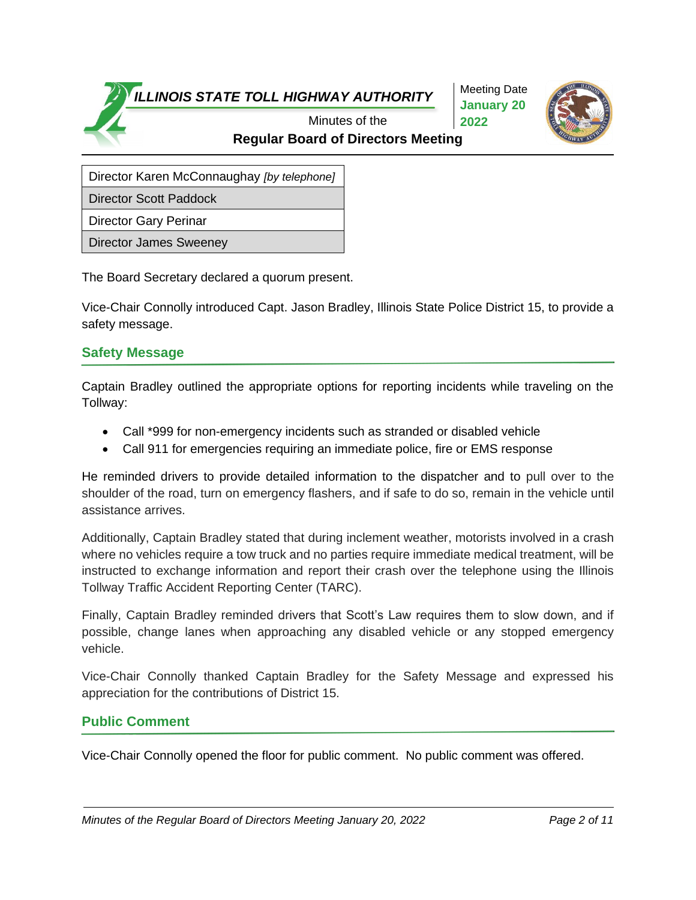Meeting Date **January 20 2022**



**Regular Board of Directors Meeting** Minutes of the

Director Karen McConnaughay *[by telephone]*

Director Scott Paddock

Director Gary Perinar

Director James Sweeney

The Board Secretary declared a quorum present.

Vice-Chair Connolly introduced Capt. Jason Bradley, Illinois State Police District 15, to provide a safety message.

#### **Safety Message**

Captain Bradley outlined the appropriate options for reporting incidents while traveling on the Tollway:

- Call \*999 for non-emergency incidents such as stranded or disabled vehicle
- Call 911 for emergencies requiring an immediate police, fire or EMS response

He reminded drivers to provide detailed information to the dispatcher and to pull over to the shoulder of the road, turn on emergency flashers, and if safe to do so, remain in the vehicle until assistance arrives.

Additionally, Captain Bradley stated that during inclement weather, motorists involved in a crash where no vehicles require a tow truck and no parties require immediate medical treatment, will be instructed to exchange information and report their crash over the telephone using the Illinois Tollway Traffic Accident Reporting Center (TARC).

Finally, Captain Bradley reminded drivers that Scott's Law requires them to slow down, and if possible, change lanes when approaching any disabled vehicle or any stopped emergency vehicle.

Vice-Chair Connolly thanked Captain Bradley for the Safety Message and expressed his appreciation for the contributions of District 15.

## **Public Comment**

Vice-Chair Connolly opened the floor for public comment. No public comment was offered.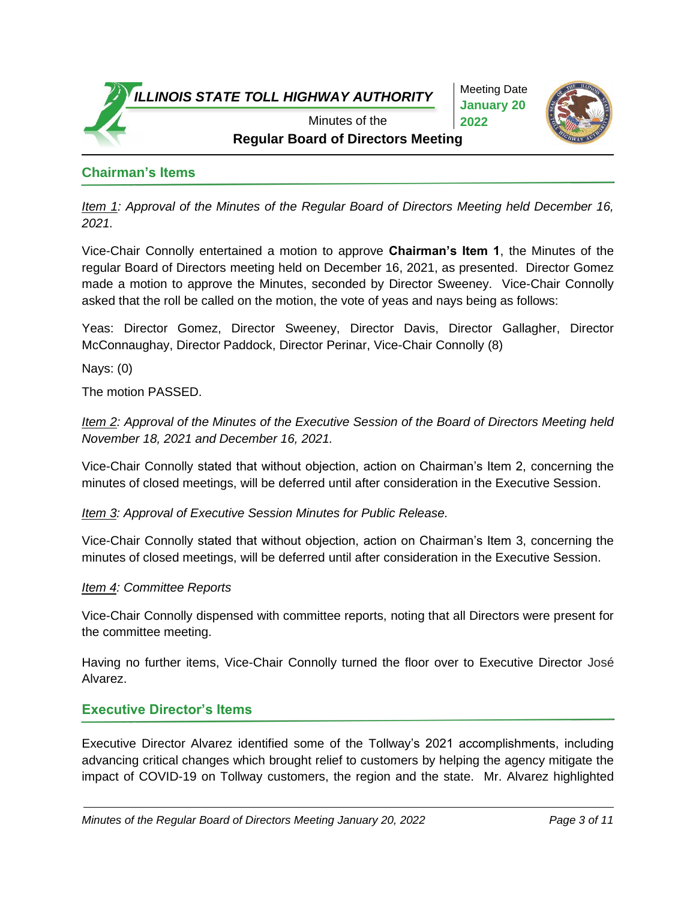

Meeting Date **January 20 2022**



**Regular Board of Directors Meeting** 

# **Chairman's Items**

*Item 1: Approval of the Minutes of the Regular Board of Directors Meeting held December 16, 2021.*

Vice-Chair Connolly entertained a motion to approve **Chairman's Item 1**, the Minutes of the regular Board of Directors meeting held on December 16, 2021, as presented. Director Gomez made a motion to approve the Minutes, seconded by Director Sweeney. Vice-Chair Connolly asked that the roll be called on the motion, the vote of yeas and nays being as follows:

Yeas: Director Gomez, Director Sweeney, Director Davis, Director Gallagher, Director McConnaughay, Director Paddock, Director Perinar, Vice-Chair Connolly (8)

Nays: (0)

The motion PASSED.

*Item 2: Approval of the Minutes of the Executive Session of the Board of Directors Meeting held November 18, 2021 and December 16, 2021.*

Vice-Chair Connolly stated that without objection, action on Chairman's Item 2, concerning the minutes of closed meetings, will be deferred until after consideration in the Executive Session.

*Item 3: Approval of Executive Session Minutes for Public Release.*

Vice-Chair Connolly stated that without objection, action on Chairman's Item 3, concerning the minutes of closed meetings, will be deferred until after consideration in the Executive Session.

#### *Item 4: Committee Reports*

Vice-Chair Connolly dispensed with committee reports, noting that all Directors were present for the committee meeting.

Having no further items, Vice-Chair Connolly turned the floor over to Executive Director José Alvarez.

## **Executive Director's Items**

Executive Director Alvarez identified some of the Tollway's 2021 accomplishments, including advancing critical changes which brought relief to customers by helping the agency mitigate the impact of COVID-19 on Tollway customers, the region and the state. Mr. Alvarez highlighted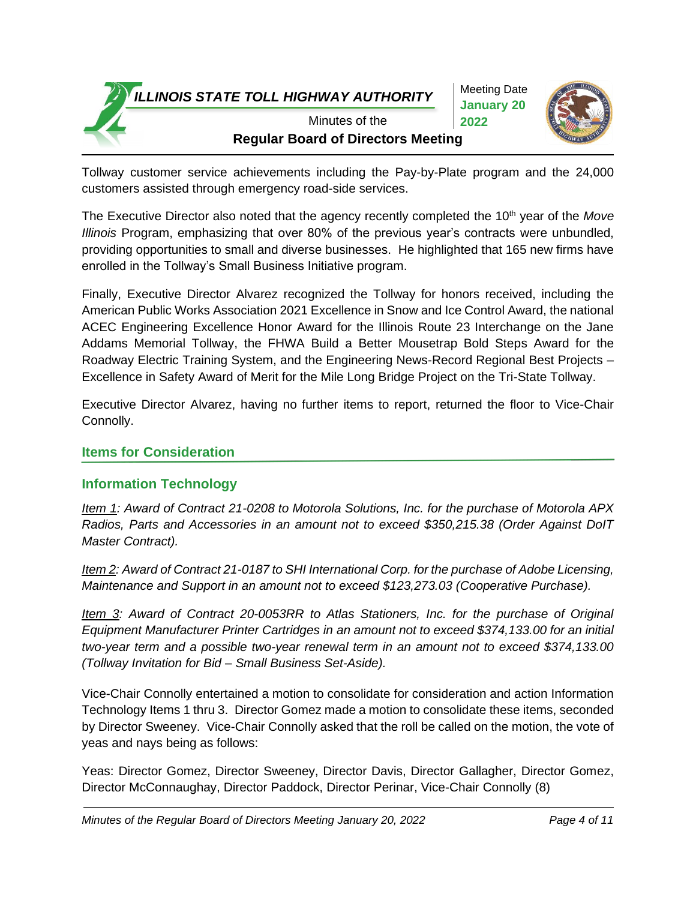Meeting Date **January 20 2022**



**Regular Board of Directors Meeting** Minutes of the

Tollway customer service achievements including the Pay-by-Plate program and the 24,000 customers assisted through emergency road-side services.

The Executive Director also noted that the agency recently completed the 10th year of the *Move Illinois* Program, emphasizing that over 80% of the previous year's contracts were unbundled, providing opportunities to small and diverse businesses. He highlighted that 165 new firms have enrolled in the Tollway's Small Business Initiative program.

Finally, Executive Director Alvarez recognized the Tollway for honors received, including the American Public Works Association 2021 Excellence in Snow and Ice Control Award, the national ACEC Engineering Excellence Honor Award for the Illinois Route 23 Interchange on the Jane Addams Memorial Tollway, the FHWA Build a Better Mousetrap Bold Steps Award for the Roadway Electric Training System, and the Engineering News-Record Regional Best Projects – Excellence in Safety Award of Merit for the Mile Long Bridge Project on the Tri-State Tollway.

Executive Director Alvarez, having no further items to report, returned the floor to Vice-Chair Connolly.

## **Items for Consideration**

## **Information Technology**

*Item 1: Award of Contract 21-0208 to Motorola Solutions, Inc. for the purchase of Motorola APX Radios, Parts and Accessories in an amount not to exceed \$350,215.38 (Order Against DoIT Master Contract).*

*Item 2: Award of Contract 21-0187 to SHI International Corp. for the purchase of Adobe Licensing, Maintenance and Support in an amount not to exceed \$123,273.03 (Cooperative Purchase).*

*Item 3: Award of Contract 20-0053RR to Atlas Stationers, Inc. for the purchase of Original Equipment Manufacturer Printer Cartridges in an amount not to exceed \$374,133.00 for an initial two-year term and a possible two-year renewal term in an amount not to exceed \$374,133.00 (Tollway Invitation for Bid – Small Business Set-Aside).*

Vice-Chair Connolly entertained a motion to consolidate for consideration and action Information Technology Items 1 thru 3. Director Gomez made a motion to consolidate these items, seconded by Director Sweeney. Vice-Chair Connolly asked that the roll be called on the motion, the vote of yeas and nays being as follows:

Yeas: Director Gomez, Director Sweeney, Director Davis, Director Gallagher, Director Gomez, Director McConnaughay, Director Paddock, Director Perinar, Vice-Chair Connolly (8)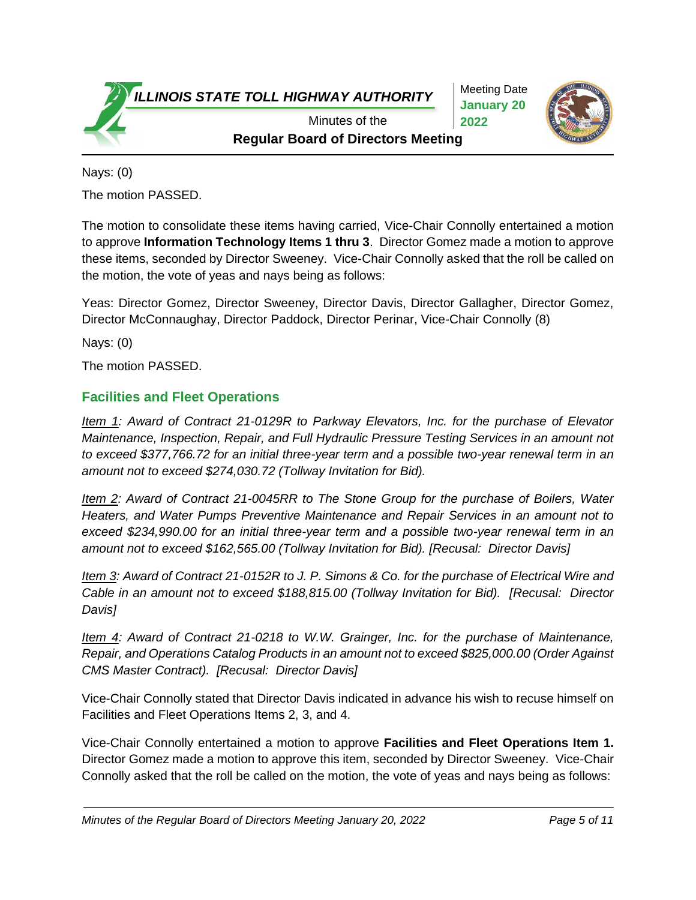Meeting Date **January 20 2022**



**Regular Board of Directors Meeting** Minutes of the

Nays: (0)

The motion PASSED.

The motion to consolidate these items having carried, Vice-Chair Connolly entertained a motion to approve **Information Technology Items 1 thru 3**. Director Gomez made a motion to approve these items, seconded by Director Sweeney. Vice-Chair Connolly asked that the roll be called on the motion, the vote of yeas and nays being as follows:

Yeas: Director Gomez, Director Sweeney, Director Davis, Director Gallagher, Director Gomez, Director McConnaughay, Director Paddock, Director Perinar, Vice-Chair Connolly (8)

Nays: (0)

The motion PASSED.

## **Facilities and Fleet Operations**

*Item 1: Award of Contract 21-0129R to Parkway Elevators, Inc. for the purchase of Elevator Maintenance, Inspection, Repair, and Full Hydraulic Pressure Testing Services in an amount not to exceed \$377,766.72 for an initial three-year term and a possible two-year renewal term in an amount not to exceed \$274,030.72 (Tollway Invitation for Bid).*

*Item 2: Award of Contract 21-0045RR to The Stone Group for the purchase of Boilers, Water Heaters, and Water Pumps Preventive Maintenance and Repair Services in an amount not to exceed \$234,990.00 for an initial three-year term and a possible two-year renewal term in an amount not to exceed \$162,565.00 (Tollway Invitation for Bid). [Recusal: Director Davis]*

*Item 3: Award of Contract 21-0152R to J. P. Simons & Co. for the purchase of Electrical Wire and Cable in an amount not to exceed \$188,815.00 (Tollway Invitation for Bid). [Recusal: Director Davis]*

*Item 4: Award of Contract 21-0218 to W.W. Grainger, Inc. for the purchase of Maintenance, Repair, and Operations Catalog Products in an amount not to exceed \$825,000.00 (Order Against CMS Master Contract). [Recusal: Director Davis]*

Vice-Chair Connolly stated that Director Davis indicated in advance his wish to recuse himself on Facilities and Fleet Operations Items 2, 3, and 4.

Vice-Chair Connolly entertained a motion to approve **Facilities and Fleet Operations Item 1.** Director Gomez made a motion to approve this item, seconded by Director Sweeney. Vice-Chair Connolly asked that the roll be called on the motion, the vote of yeas and nays being as follows: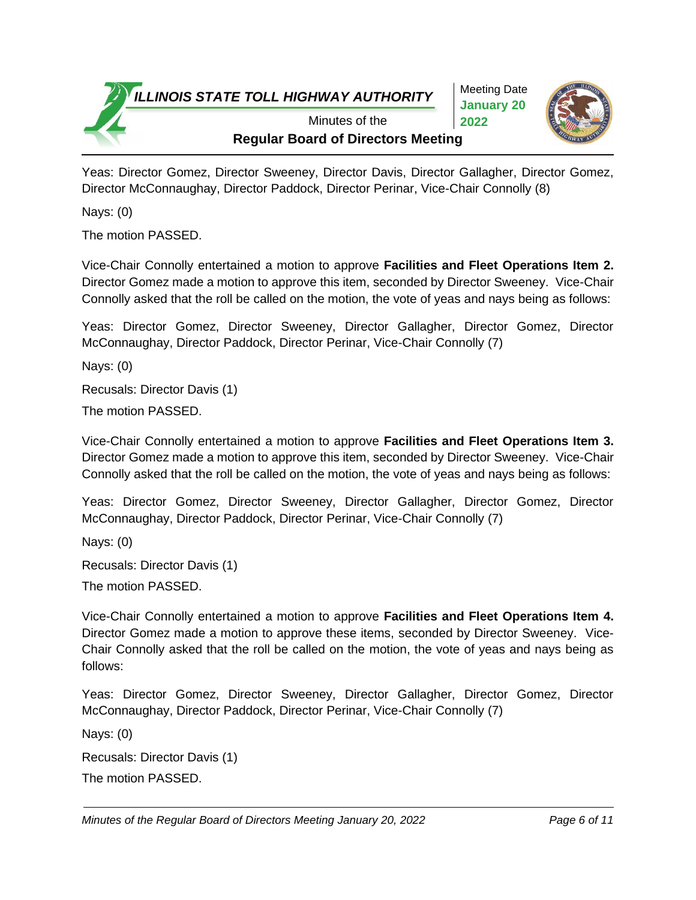Meeting Date **January 20 2022**



**Regular Board of Directors Meeting** Minutes of the

Yeas: Director Gomez, Director Sweeney, Director Davis, Director Gallagher, Director Gomez, Director McConnaughay, Director Paddock, Director Perinar, Vice-Chair Connolly (8)

Nays: (0)

The motion PASSED.

Vice-Chair Connolly entertained a motion to approve **Facilities and Fleet Operations Item 2.** Director Gomez made a motion to approve this item, seconded by Director Sweeney. Vice-Chair Connolly asked that the roll be called on the motion, the vote of yeas and nays being as follows:

Yeas: Director Gomez, Director Sweeney, Director Gallagher, Director Gomez, Director McConnaughay, Director Paddock, Director Perinar, Vice-Chair Connolly (7)

Nays: (0)

Recusals: Director Davis (1)

The motion PASSED.

Vice-Chair Connolly entertained a motion to approve **Facilities and Fleet Operations Item 3.** Director Gomez made a motion to approve this item, seconded by Director Sweeney. Vice-Chair Connolly asked that the roll be called on the motion, the vote of yeas and nays being as follows:

Yeas: Director Gomez, Director Sweeney, Director Gallagher, Director Gomez, Director McConnaughay, Director Paddock, Director Perinar, Vice-Chair Connolly (7)

Nays: (0)

Recusals: Director Davis (1)

The motion PASSED.

Vice-Chair Connolly entertained a motion to approve **Facilities and Fleet Operations Item 4.** Director Gomez made a motion to approve these items, seconded by Director Sweeney. Vice-Chair Connolly asked that the roll be called on the motion, the vote of yeas and nays being as follows:

Yeas: Director Gomez, Director Sweeney, Director Gallagher, Director Gomez, Director McConnaughay, Director Paddock, Director Perinar, Vice-Chair Connolly (7)

Nays: (0)

Recusals: Director Davis (1)

The motion PASSED.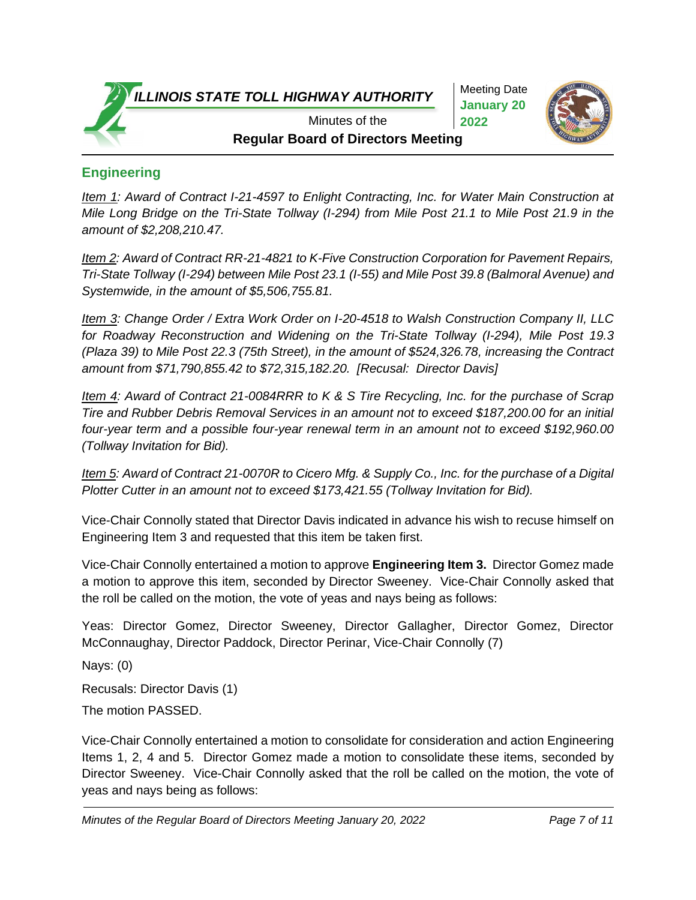Meeting Date **January 20 2022**



**Regular Board of Directors Meeting** Minutes of the

# **Engineering**

*Item 1: Award of Contract I-21-4597 to Enlight Contracting, Inc. for Water Main Construction at Mile Long Bridge on the Tri-State Tollway (I-294) from Mile Post 21.1 to Mile Post 21.9 in the amount of \$2,208,210.47.* 

*Item 2: Award of Contract RR-21-4821 to K-Five Construction Corporation for Pavement Repairs, Tri-State Tollway (I-294) between Mile Post 23.1 (I-55) and Mile Post 39.8 (Balmoral Avenue) and Systemwide, in the amount of \$5,506,755.81.*

*Item 3: Change Order / Extra Work Order on I-20-4518 to Walsh Construction Company II, LLC for Roadway Reconstruction and Widening on the Tri-State Tollway (I-294), Mile Post 19.3 (Plaza 39) to Mile Post 22.3 (75th Street), in the amount of \$524,326.78, increasing the Contract amount from \$71,790,855.42 to \$72,315,182.20. [Recusal: Director Davis]*

*Item 4: Award of Contract 21-0084RRR to K & S Tire Recycling, Inc. for the purchase of Scrap Tire and Rubber Debris Removal Services in an amount not to exceed \$187,200.00 for an initial four-year term and a possible four-year renewal term in an amount not to exceed \$192,960.00 (Tollway Invitation for Bid).*

*Item 5: Award of Contract 21-0070R to Cicero Mfg. & Supply Co., Inc. for the purchase of a Digital Plotter Cutter in an amount not to exceed \$173,421.55 (Tollway Invitation for Bid).*

Vice-Chair Connolly stated that Director Davis indicated in advance his wish to recuse himself on Engineering Item 3 and requested that this item be taken first.

Vice-Chair Connolly entertained a motion to approve **Engineering Item 3.** Director Gomez made a motion to approve this item, seconded by Director Sweeney. Vice-Chair Connolly asked that the roll be called on the motion, the vote of yeas and nays being as follows:

Yeas: Director Gomez, Director Sweeney, Director Gallagher, Director Gomez, Director McConnaughay, Director Paddock, Director Perinar, Vice-Chair Connolly (7)

Nays: (0)

Recusals: Director Davis (1)

The motion PASSED.

Vice-Chair Connolly entertained a motion to consolidate for consideration and action Engineering Items 1, 2, 4 and 5. Director Gomez made a motion to consolidate these items, seconded by Director Sweeney. Vice-Chair Connolly asked that the roll be called on the motion, the vote of yeas and nays being as follows: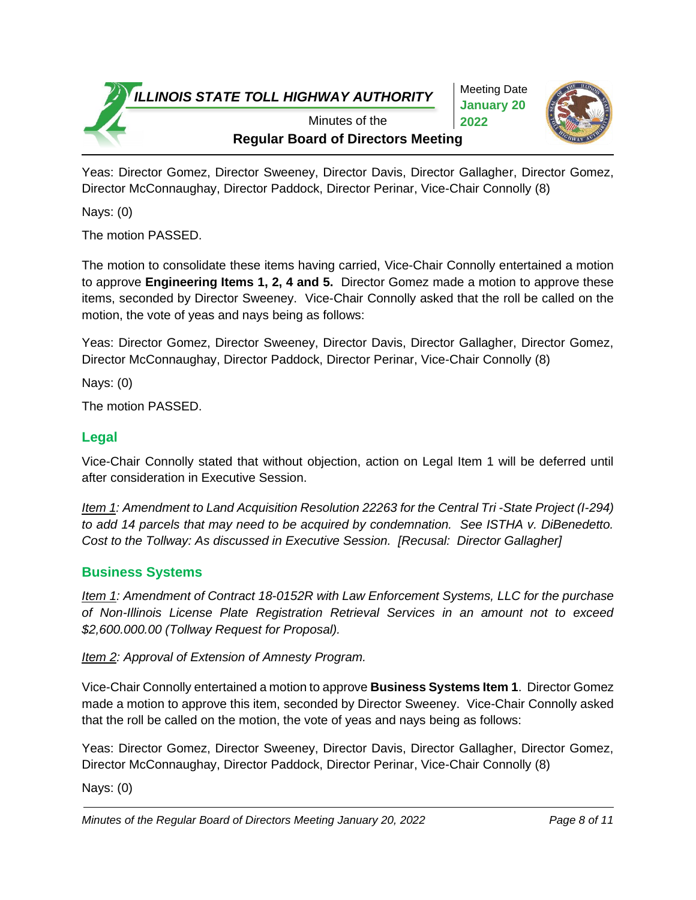Meeting Date **January 20 2022**



**Regular Board of Directors Meeting** Minutes of the

Yeas: Director Gomez, Director Sweeney, Director Davis, Director Gallagher, Director Gomez, Director McConnaughay, Director Paddock, Director Perinar, Vice-Chair Connolly (8)

Nays: (0)

The motion PASSED.

The motion to consolidate these items having carried, Vice-Chair Connolly entertained a motion to approve **Engineering Items 1, 2, 4 and 5.** Director Gomez made a motion to approve these items, seconded by Director Sweeney. Vice-Chair Connolly asked that the roll be called on the motion, the vote of yeas and nays being as follows:

Yeas: Director Gomez, Director Sweeney, Director Davis, Director Gallagher, Director Gomez, Director McConnaughay, Director Paddock, Director Perinar, Vice-Chair Connolly (8)

Nays: (0)

The motion PASSED.

## **Legal**

Vice-Chair Connolly stated that without objection, action on Legal Item 1 will be deferred until after consideration in Executive Session.

*Item 1: Amendment to Land Acquisition Resolution 22263 for the Central Tri -State Project (I-294) to add 14 parcels that may need to be acquired by condemnation. See ISTHA v. DiBenedetto. Cost to the Tollway: As discussed in Executive Session. [Recusal: Director Gallagher]*

## **Business Systems**

*Item 1: Amendment of Contract 18-0152R with Law Enforcement Systems, LLC for the purchase of Non-Illinois License Plate Registration Retrieval Services in an amount not to exceed \$2,600.000.00 (Tollway Request for Proposal).*

*Item 2: Approval of Extension of Amnesty Program.*

Vice-Chair Connolly entertained a motion to approve **Business Systems Item 1**. Director Gomez made a motion to approve this item, seconded by Director Sweeney. Vice-Chair Connolly asked that the roll be called on the motion, the vote of yeas and nays being as follows:

Yeas: Director Gomez, Director Sweeney, Director Davis, Director Gallagher, Director Gomez, Director McConnaughay, Director Paddock, Director Perinar, Vice-Chair Connolly (8)

Nays: (0)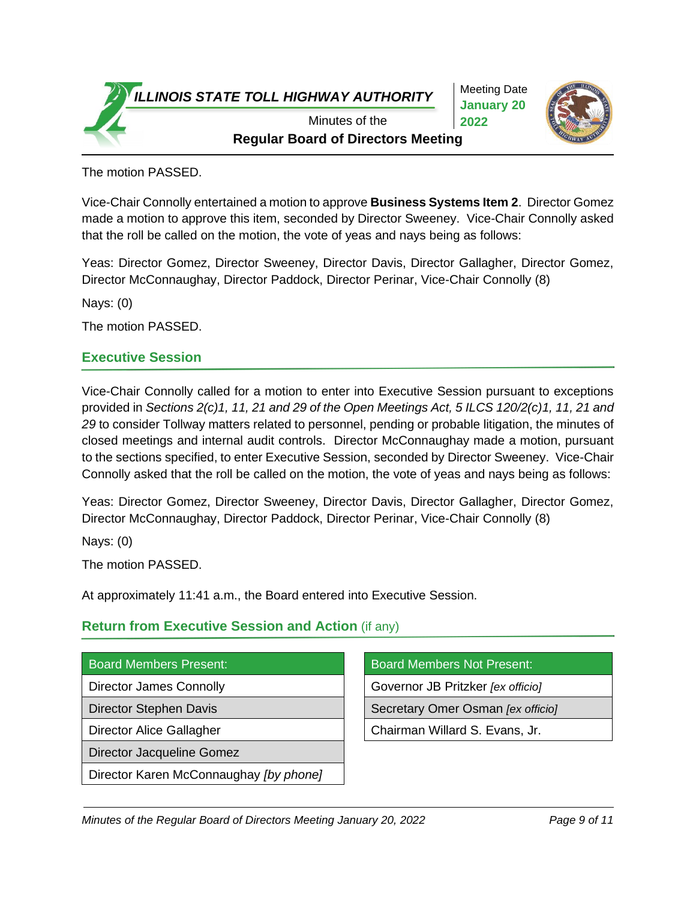Meeting Date **January 20 2022**



**Regular Board of Directors Meeting** Minutes of the

The motion PASSED.

Vice-Chair Connolly entertained a motion to approve **Business Systems Item 2**. Director Gomez made a motion to approve this item, seconded by Director Sweeney. Vice-Chair Connolly asked that the roll be called on the motion, the vote of yeas and nays being as follows:

Yeas: Director Gomez, Director Sweeney, Director Davis, Director Gallagher, Director Gomez, Director McConnaughay, Director Paddock, Director Perinar, Vice-Chair Connolly (8)

Nays: (0)

The motion PASSED.

#### **Executive Session**

Vice-Chair Connolly called for a motion to enter into Executive Session pursuant to exceptions provided in *Sections 2(c)1, 11, 21 and 29 of the Open Meetings Act, 5 ILCS 120/2(c)1, 11, 21 and 29* to consider Tollway matters related to personnel, pending or probable litigation, the minutes of closed meetings and internal audit controls. Director McConnaughay made a motion, pursuant to the sections specified, to enter Executive Session, seconded by Director Sweeney. Vice-Chair Connolly asked that the roll be called on the motion, the vote of yeas and nays being as follows:

Yeas: Director Gomez, Director Sweeney, Director Davis, Director Gallagher, Director Gomez, Director McConnaughay, Director Paddock, Director Perinar, Vice-Chair Connolly (8)

Nays: (0)

The motion PASSED.

At approximately 11:41 a.m., the Board entered into Executive Session.

## **Return from Executive Session and Action** (if any)

|  | <b>Board Members Present:</b> |
|--|-------------------------------|
|  |                               |
|  |                               |

Director Jacqueline Gomez

Director Karen McConnaughay *[by phone]*

Board Members Not Present:

Director James Connolly Governor JB Pritzker *[ex officio]*

Director Stephen Davis **Secretary Omer Osman** *[ex officio]* 

Director Alice Gallagher **Chairman Willard S. Evans, Jr.**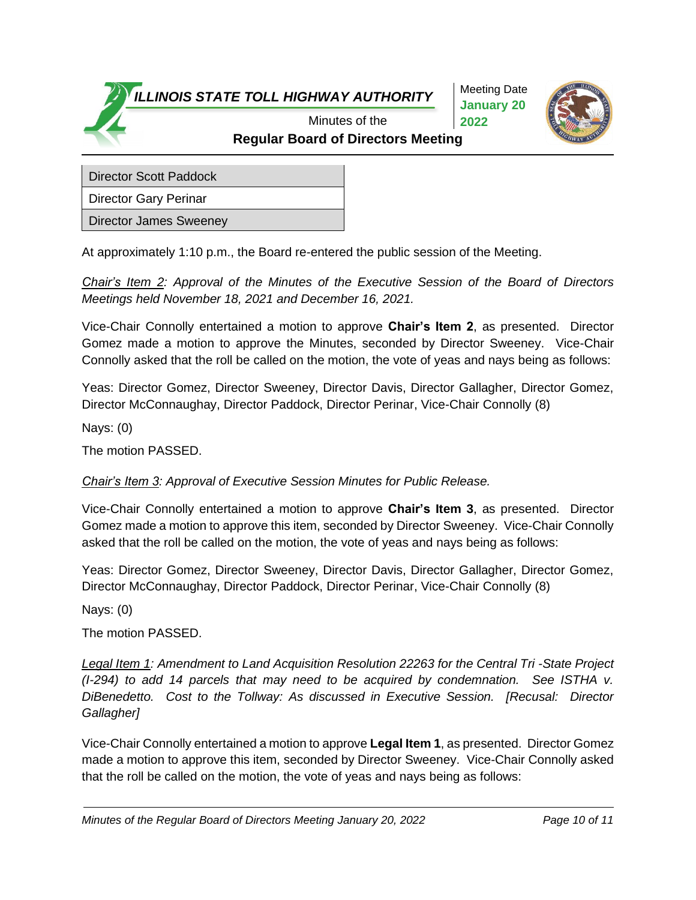Meeting Date **January 20 2022**



**Regular Board of Directors Meeting** Minutes of the

Director Scott Paddock

Director Gary Perinar

Director James Sweeney

At approximately 1:10 p.m., the Board re-entered the public session of the Meeting.

*Chair's Item 2: Approval of the Minutes of the Executive Session of the Board of Directors Meetings held November 18, 2021 and December 16, 2021.*

Vice-Chair Connolly entertained a motion to approve **Chair's Item 2**, as presented. Director Gomez made a motion to approve the Minutes, seconded by Director Sweeney. Vice-Chair Connolly asked that the roll be called on the motion, the vote of yeas and nays being as follows:

Yeas: Director Gomez, Director Sweeney, Director Davis, Director Gallagher, Director Gomez, Director McConnaughay, Director Paddock, Director Perinar, Vice-Chair Connolly (8)

Nays: (0)

The motion PASSED.

*Chair's Item 3: Approval of Executive Session Minutes for Public Release.*

Vice-Chair Connolly entertained a motion to approve **Chair's Item 3**, as presented. Director Gomez made a motion to approve this item, seconded by Director Sweeney. Vice-Chair Connolly asked that the roll be called on the motion, the vote of yeas and nays being as follows:

Yeas: Director Gomez, Director Sweeney, Director Davis, Director Gallagher, Director Gomez, Director McConnaughay, Director Paddock, Director Perinar, Vice-Chair Connolly (8)

Nays: (0)

The motion PASSED.

*Legal Item 1: Amendment to Land Acquisition Resolution 22263 for the Central Tri -State Project (I-294) to add 14 parcels that may need to be acquired by condemnation. See ISTHA v. DiBenedetto. Cost to the Tollway: As discussed in Executive Session. [Recusal: Director Gallagher]*

Vice-Chair Connolly entertained a motion to approve **Legal Item 1**, as presented. Director Gomez made a motion to approve this item, seconded by Director Sweeney. Vice-Chair Connolly asked that the roll be called on the motion, the vote of yeas and nays being as follows: